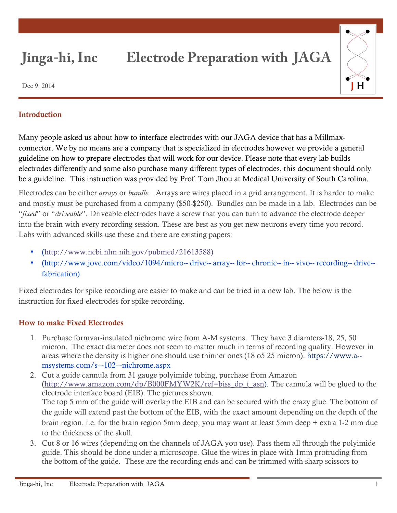## **Jinga-hi, Inc Electrode Preparation with JAGA**



Dec 9, 2014

## **Introduction**

Many people asked us about how to interface electrodes with our JAGA device that has a Millmaxconnector. We by no means are a company that is specialized in electrodes however we provide a general guideline on how to prepare electrodes that will work for our device. Please note that every lab builds electrodes differently and some also purchase many different types of electrodes, this document should only be a guideline. This instruction was provided by Prof. Tom Jhou at Medical University of South Carolina.

Electrodes can be either *arrays* or *bundle.* Arrays are wires placed in a grid arrangement. It is harder to make and mostly must be purchased from a company (\$50-\$250). Bundles can be made in a lab. Electrodes can be "*fixed*" or "*driveable*". Driveable electrodes have a screw that you can turn to advance the electrode deeper into the brain with every recording session. These are best as you get new neurons every time you record. Labs with advanced skills use these and there are existing papers:

- (http://www.ncbi.nlm.nih.gov/pubmed/21613588)
- (http://www.jove.com/video/1094/micro--drive--array--for--chronic--in--vivo--recording--drive--fabrication)

Fixed electrodes for spike recording are easier to make and can be tried in a new lab. The below is the instruction for fixed-electrodes for spike-recording.

## How to make Fixed Electrodes

- 1. Purchase formvar-insulated nichrome wire from A-M systems. They have 3 diamters-18, 25, 50 micron. The exact diameter does not seem to matter much in terms of recording quality. However in areas where the density is higher one should use thinner ones (18 o5 25 micron). https://www.a-‐ msystems.com/s-‐102-‐nichrome.aspx
- 2. Cut a guide cannula from 31 gauge polyimide tubing, purchase from Amazon (http://www.amazon.com/dp/B000FMYW2K/ref=biss\_dp\_t\_asn). The cannula will be glued to the electrode interface board (EIB). The pictures shown. The top 5 mm of the guide will overlap the EIB and can be secured with the crazy glue. The bottom of the guide will extend past the bottom of the EIB, with the exact amount depending on the depth of the brain region. i.e. for the brain region 5mm deep, you may want at least 5mm deep + extra 1-2 mm due to the thickness of the skull.
- 3. Cut 8 or 16 wires (depending on the channels of JAGA you use). Pass them all through the polyimide guide. This should be done under a microscope. Glue the wires in place with 1mm protruding from the bottom of the guide. These are the recording ends and can be trimmed with sharp scissors to